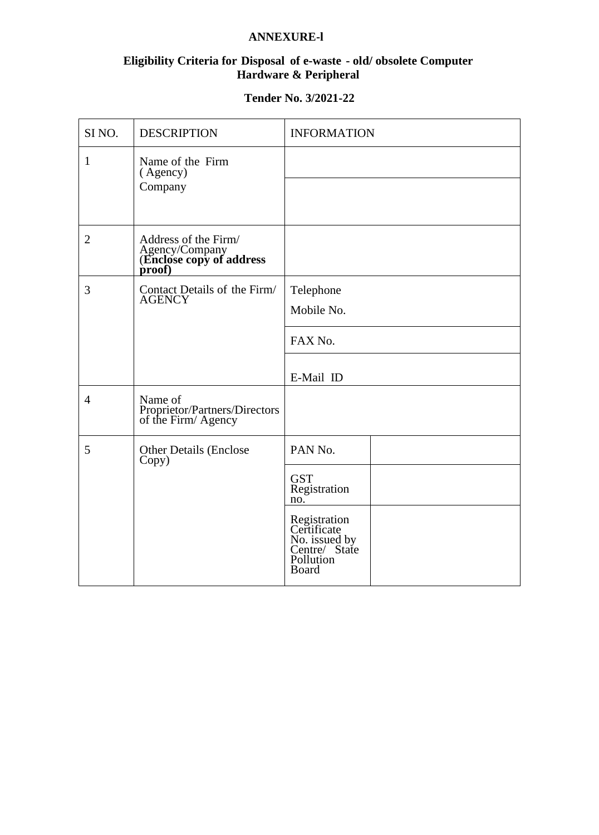# **ANNEXURE-l**

## **Eligibility Criteria for Disposal of e-waste - old/ obsolete Computer Hardware & Peripheral**

## **Tender No. 3/2021-22**

| SI <sub>NO</sub> . | <b>DESCRIPTION</b>                                                           | <b>INFORMATION</b>                                                                        |
|--------------------|------------------------------------------------------------------------------|-------------------------------------------------------------------------------------------|
| $\mathbf{1}$       | Name of the Firm<br>(Agency)<br>Company                                      |                                                                                           |
|                    |                                                                              |                                                                                           |
| 2                  | Address of the Firm/<br>Agency/Company<br>(Enclose copy of address<br>proof) |                                                                                           |
| 3                  | Contact Details of the Firm/<br><b>AGENCY</b>                                | Telephone                                                                                 |
|                    |                                                                              | Mobile No.                                                                                |
|                    |                                                                              | FAX No.                                                                                   |
|                    |                                                                              | E-Mail ID                                                                                 |
| $\overline{4}$     | Name of<br>Proprietor/Partners/Directors<br>of the Firm/Agency               |                                                                                           |
| 5                  | <b>Other Details (Enclose</b><br>Copy)                                       | PAN No.                                                                                   |
|                    |                                                                              | <b>GST</b><br>Registration<br>no.                                                         |
|                    |                                                                              | Registration<br>Certificate<br>No. issued by<br>Centre/State<br>Pollution<br><b>Board</b> |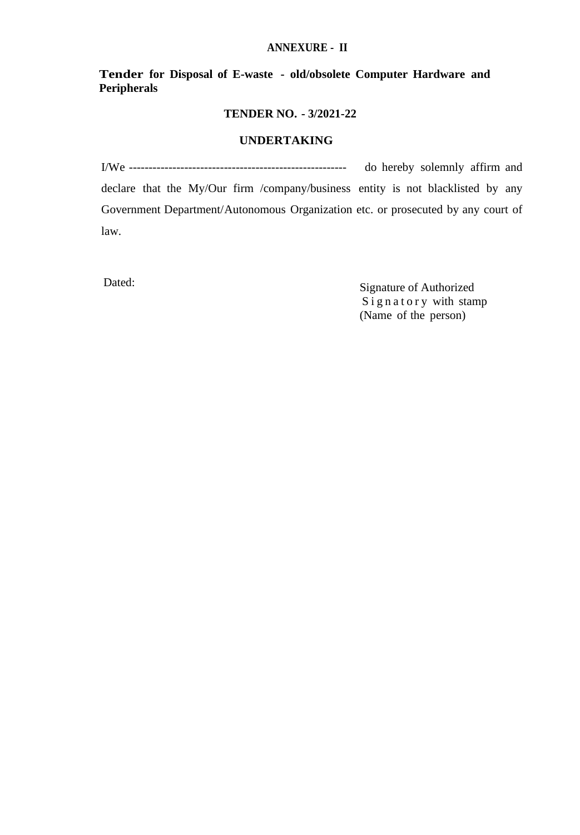#### **ANNEXURE - II**

**Tender for Disposal of E-waste - old/obsolete Computer Hardware and Peripherals**

### **TENDER NO. - 3/2021-22**

#### **UNDERTAKING**

I/We ------------------------------------------------------- do hereby solemnly affirm and declare that the My/Our firm /company/business entity is not blacklisted by any Government Department/Autonomous Organization etc. or prosecuted by any court of law.

Dated: Signature of Authorized Signatory with stamp (Name of the person)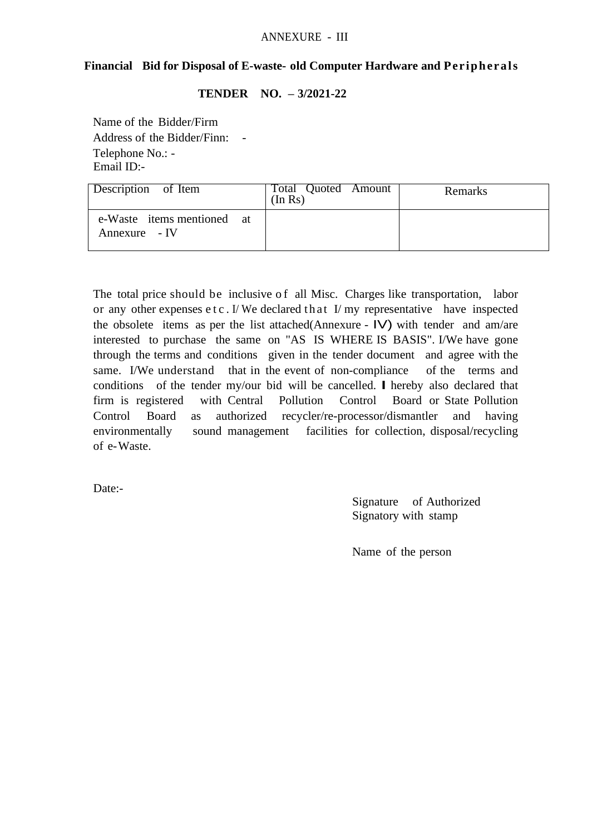## **Financial Bid for Disposal of E-waste- old Computer Hardware and Peripherals**

## **TENDER NO. – 3/2021-22**

Name of the Bidder/Firm Address of the Bidder/Finn: - Telephone No.: - Email ID:-

| Description of Item                         | Total Quoted Amount<br>(In Rs) | Remarks |
|---------------------------------------------|--------------------------------|---------|
| e-Waste items mentioned at<br>Annexure - IV |                                |         |

The total price should be inclusive of all Misc. Charges like transportation, labor or any other expenses  $et c$ . I/ We declared that I/ my representative have inspected the obsolete items as per the list attached(Annexure - IV) with tender and am/are interested to purchase the same on "AS IS WHERE IS BASIS". I/We have gone through the terms and conditions given in the tender document and agree with the same. I/We understand that in the event of non-compliance of the terms and conditions of the tender my/our bid will be cancelled. I hereby also declared that firm is registered with Central Pollution Control Board or State Pollution Control Board as authorized recycler/re-processor/dismantler and having environmentally sound management facilities for collection, disposal/recycling of e-Waste.

Date:-

Signature of Authorized Signatory with stamp

Name of the person